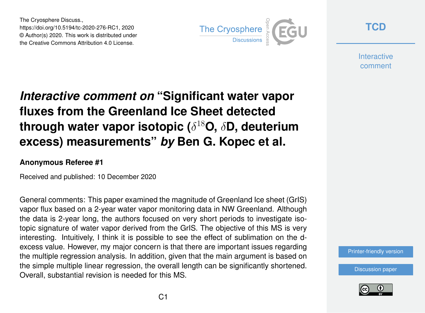The Cryosphere Discuss., https://doi.org/10.5194/tc-2020-276-RC1, 2020 © Author(s) 2020. This work is distributed under the Creative Commons Attribution 4.0 License.



**[TCD](https://tc.copernicus.org/preprints/)**

**Interactive** comment

## *Interactive comment on* **"Significant water vapor fluxes from the Greenland Ice Sheet detected through water vapor isotopic (**δ <sup>18</sup>**O,** δ**D, deuterium excess) measurements"** *by* **Ben G. Kopec et al.**

## **Anonymous Referee #1**

Received and published: 10 December 2020

General comments: This paper examined the magnitude of Greenland Ice sheet (GrIS) vapor flux based on a 2-year water vapor monitoring data in NW Greenland. Although the data is 2-year long, the authors focused on very short periods to investigate isotopic signature of water vapor derived from the GrIS. The objective of this MS is very interesting. Intuitively, I think it is possible to see the effect of sublimation on the dexcess value. However, my major concern is that there are important issues regarding the multiple regression analysis. In addition, given that the main argument is based on the simple multiple linear regression, the overall length can be significantly shortened. Overall, substantial revision is needed for this MS.

[Printer-friendly version](https://tc.copernicus.org/preprints/tc-2020-276/tc-2020-276-RC1-print.pdf)

[Discussion paper](https://tc.copernicus.org/preprints/tc-2020-276)

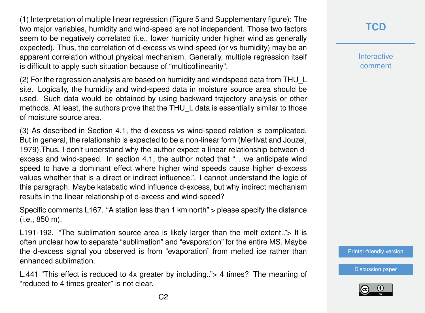(1) Interpretation of multiple linear regression (Figure 5 and Supplementary figure): The two major variables, humidity and wind-speed are not independent. Those two factors seem to be negatively correlated (i.e., lower humidity under higher wind as generally expected). Thus, the correlation of d-excess vs wind-speed (or vs humidity) may be an apparent correlation without physical mechanism. Generally, multiple regression itself is difficult to apply such situation because of "multicollinearity".

(2) For the regression analysis are based on humidity and windspeed data from THU\_L site. Logically, the humidity and wind-speed data in moisture source area should be used. Such data would be obtained by using backward trajectory analysis or other methods. At least, the authors prove that the THU L data is essentially similar to those of moisture source area.

(3) As described in Section 4.1, the d-excess vs wind-speed relation is complicated. But in general, the relationship is expected to be a non-linear form (Merlivat and Jouzel, 1979).Thus, I don't understand why the author expect a linear relationship between dexcess and wind-speed. In section 4.1, the author noted that ". . .we anticipate wind speed to have a dominant effect where higher wind speeds cause higher d-excess values whether that is a direct or indirect influence.". I cannot understand the logic of this paragraph. Maybe katabatic wind influence d-excess, but why indirect mechanism results in the linear relationship of d-excess and wind-speed?

Specific comments L167. "A station less than 1 km north" > please specify the distance (i.e., 850 m).

L191-192. "The sublimation source area is likely larger than the melt extent.."> It is often unclear how to separate "sublimation" and "evaporation" for the entire MS. Maybe the d-excess signal you observed is from "evaporation" from melted ice rather than enhanced sublimation.

L.441 "This effect is reduced to 4x greater by including.."> 4 times? The meaning of "reduced to 4 times greater" is not clear.

**[TCD](https://tc.copernicus.org/preprints/)**

**Interactive** comment

[Printer-friendly version](https://tc.copernicus.org/preprints/tc-2020-276/tc-2020-276-RC1-print.pdf)

[Discussion paper](https://tc.copernicus.org/preprints/tc-2020-276)